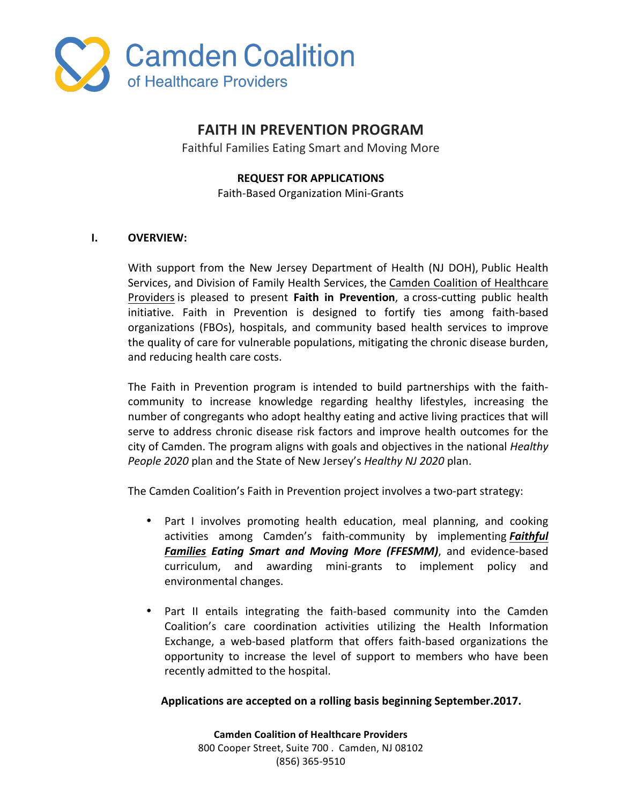

# **FAITH IN PREVENTION PROGRAM**

Faithful Families Eating Smart and Moving More

### **REQUEST FOR APPLICATIONS**

Faith-Based Organization Mini-Grants 

## **I. OVERVIEW:**

With support from the New Jersey Department of Health (NJ DOH), Public Health Services, and Division of Family Health Services, the Camden Coalition of Healthcare Providers is pleased to present **Faith in Prevention**, a cross-cutting public health initiative. Faith in Prevention is designed to fortify ties among faith-based organizations (FBOs), hospitals, and community based health services to improve the quality of care for vulnerable populations, mitigating the chronic disease burden, and reducing health care costs.

The Faith in Prevention program is intended to build partnerships with the faithcommunity to increase knowledge regarding healthy lifestyles, increasing the number of congregants who adopt healthy eating and active living practices that will serve to address chronic disease risk factors and improve health outcomes for the city of Camden. The program aligns with goals and objectives in the national *Healthy People 2020* plan and the State of New Jersey's *Healthy NJ 2020* plan.

The Camden Coalition's Faith in Prevention project involves a two-part strategy:

- Part I involves promoting health education, meal planning, and cooking activities among Camden's faith-community by implementing **Faithful Families Eating Smart and Moving More (FFESMM)**, and evidence-based curriculum, and awarding mini-grants to implement policy and environmental changes.
- Part II entails integrating the faith-based community into the Camden Coalition's care coordination activities utilizing the Health Information Exchange, a web-based platform that offers faith-based organizations the opportunity to increase the level of support to members who have been recently admitted to the hospital.

#### **Applications are accepted on a rolling basis beginning September.2017.**

**Camden Coalition of Healthcare Providers** 800 Cooper Street, Suite 700 . Camden, NJ 08102 (856) 365-9510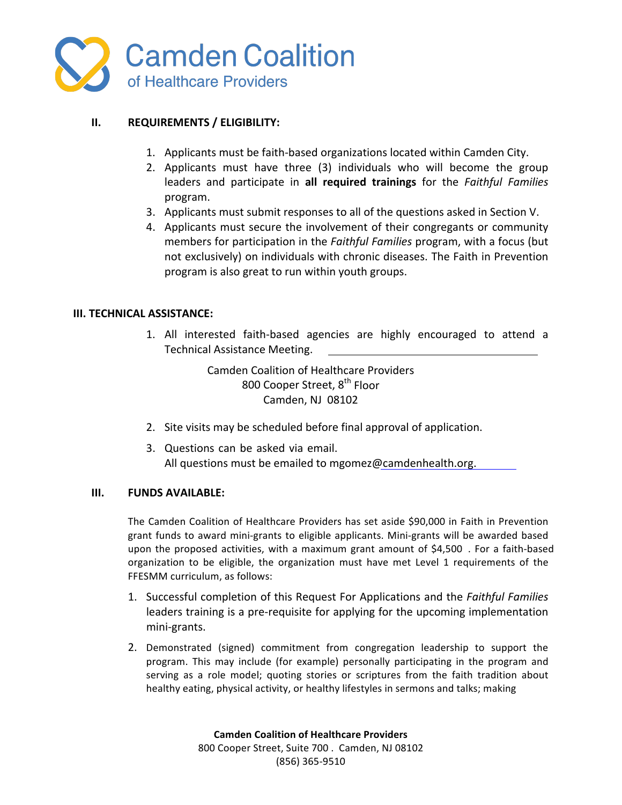

## **II.** REQUIREMENTS / ELIGIBILITY:

- 1. Applicants must be faith-based organizations located within Camden City.
- 2. Applicants must have three (3) individuals who will become the group leaders and participate in all required trainings for the *Faithful Families* program.
- 3. Applicants must submit responses to all of the questions asked in Section V.
- 4. Applicants must secure the involvement of their congregants or community members for participation in the *Faithful Families* program, with a focus (but not exclusively) on individuals with chronic diseases. The Faith in Prevention program is also great to run within youth groups.

#### **III. TECHNICAL ASSISTANCE:**

1. All interested faith-based agencies are highly encouraged to attend a Technical Assistance Meeting.

> Camden Coalition of Healthcare Providers 800 Cooper Street, 8<sup>th</sup> Floor Camden, NJ 08102

- 2. Site visits may be scheduled before final approval of application.
- 3. Questions can be asked via email. All questions must be emailed to mgomez@camdenhealth.org.

#### **III. FUNDS AVAILABLE:**

The Camden Coalition of Healthcare Providers has set aside \$90,000 in Faith in Prevention grant funds to award mini-grants to eligible applicants. Mini-grants will be awarded based upon the proposed activities, with a maximum grant amount of \$4,500. For a faith-based organization to be eligible, the organization must have met Level 1 requirements of the FFESMM curriculum, as follows:

- 1. Successful completion of this Request For Applications and the *Faithful Families* leaders training is a pre-requisite for applying for the upcoming implementation mini-grants.
- 2. Demonstrated (signed) commitment from congregation leadership to support the program. This may include (for example) personally participating in the program and serving as a role model; quoting stories or scriptures from the faith tradition about healthy eating, physical activity, or healthy lifestyles in sermons and talks; making

**Camden Coalition of Healthcare Providers** 800 Cooper Street, Suite 700 . Camden, NJ 08102 (856) 365-9510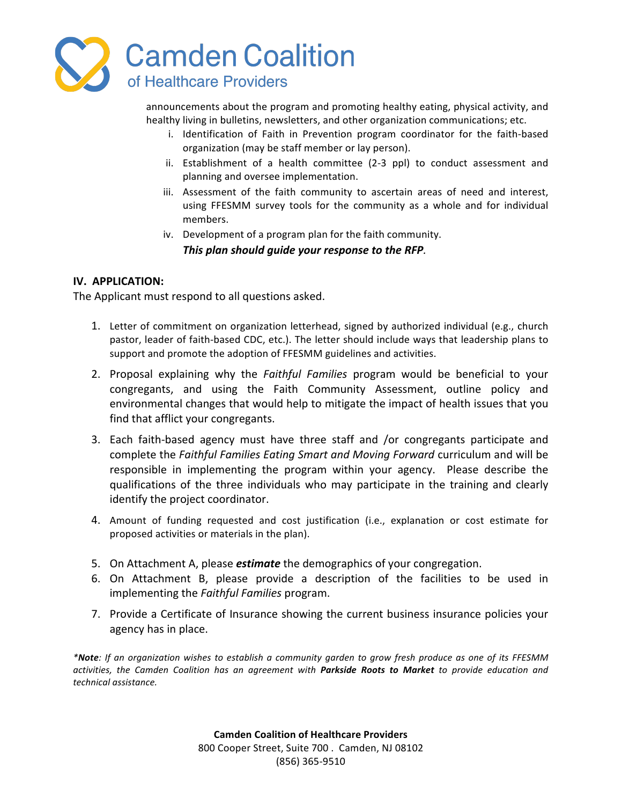

announcements about the program and promoting healthy eating, physical activity, and healthy living in bulletins, newsletters, and other organization communications; etc.

- i. Identification of Faith in Prevention program coordinator for the faith-based organization (may be staff member or lay person).
- ii. Establishment of a health committee (2-3 ppl) to conduct assessment and planning and oversee implementation.
- iii. Assessment of the faith community to ascertain areas of need and interest, using FFESMM survey tools for the community as a whole and for individual members.
- iv. Development of a program plan for the faith community. This plan should guide your response to the RFP.

## **IV. APPLICATION:**

The Applicant must respond to all questions asked.

- 1. Letter of commitment on organization letterhead, signed by authorized individual (e.g., church pastor, leader of faith-based CDC, etc.). The letter should include ways that leadership plans to support and promote the adoption of FFESMM guidelines and activities.
- 2. Proposal explaining why the *Faithful Families* program would be beneficial to your congregants, and using the Faith Community Assessment, outline policy and environmental changes that would help to mitigate the impact of health issues that you find that afflict your congregants.
- 3. Each faith-based agency must have three staff and /or congregants participate and complete the *Faithful Families Eating Smart and Moving Forward* curriculum and will be responsible in implementing the program within your agency. Please describe the qualifications of the three individuals who may participate in the training and clearly identify the project coordinator.
- 4. Amount of funding requested and cost justification (i.e., explanation or cost estimate for proposed activities or materials in the plan).
- 5. On Attachment A, please *estimate* the demographics of your congregation.
- 6. On Attachment B, please provide a description of the facilities to be used in implementing the *Faithful Families* program.
- 7. Provide a Certificate of Insurance showing the current business insurance policies your agency has in place.

*\*Note: If an organization wishes to establish a community garden to grow fresh produce as one of its FFESMM*  activities, the Camden Coalition has an agreement with **Parkside Roots to Market** to provide education and *technical assistance.*

> **Camden Coalition of Healthcare Providers** 800 Cooper Street, Suite 700 . Camden, NJ 08102 (856) 365-9510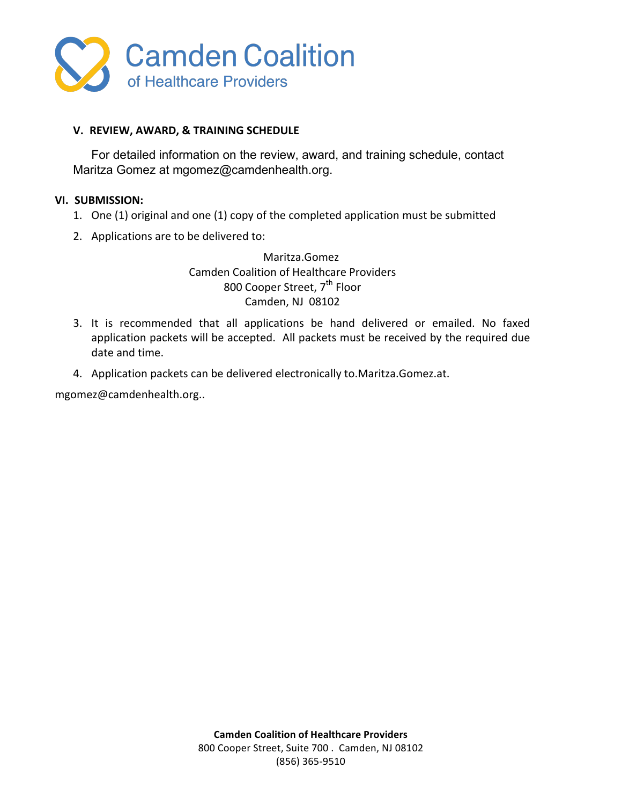

## **V. REVIEW, AWARD, & TRAINING SCHEDULE**

For detailed information on the review, award, and training schedule, contact Maritza Gomez at mgomez@camdenhealth.org.

#### **VI. SUBMISSION:**

- 1. One (1) original and one (1) copy of the completed application must be submitted
- 2. Applications are to be delivered to:

Maritza.Gomez Camden Coalition of Healthcare Providers 800 Cooper Street, 7<sup>th</sup> Floor Camden, NJ 08102

- 3. It is recommended that all applications be hand delivered or emailed. No faxed application packets will be accepted. All packets must be received by the required due date and time.
- 4. Application packets can be delivered electronically to.Maritza.Gomez.at.

mgomez@camdenhealth.org..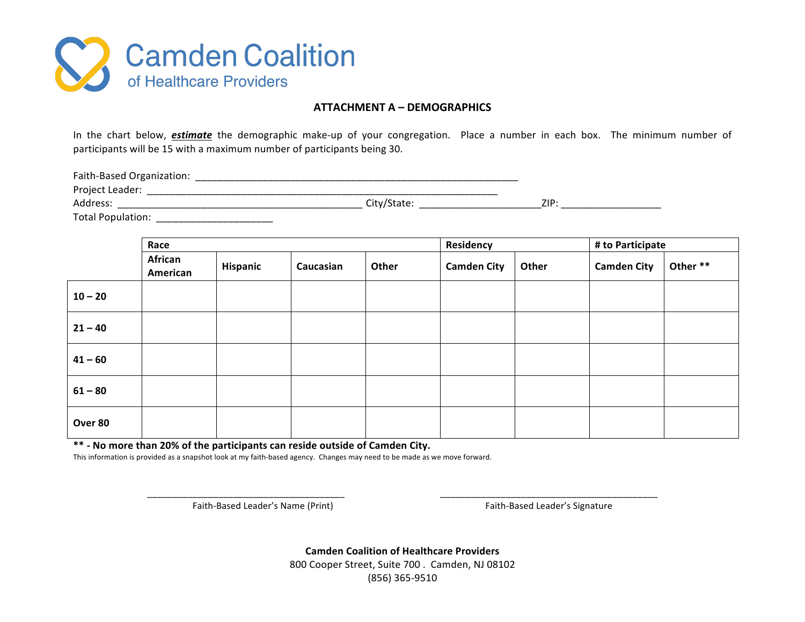

#### **ATTACHMENT A – DEMOGRAPHICS**

In the chart below, *estimate* the demographic make-up of your congregation. Place a number in each box. The minimum number of participants will be 15 with a maximum number of participants being 30.

Faith-Based Organization: \_\_\_\_\_\_\_\_\_\_\_\_\_\_\_\_\_\_\_\_\_\_\_\_\_\_\_\_\_\_\_\_\_\_\_\_\_\_\_\_\_\_\_\_\_\_\_\_\_\_\_\_\_\_\_\_\_\_ Project Leader: \_\_\_\_\_\_\_\_\_\_\_\_\_\_\_\_\_\_\_\_\_\_\_\_\_\_\_\_\_\_\_\_\_\_\_\_\_\_\_\_\_\_\_\_\_\_\_\_\_\_\_\_\_\_\_\_\_\_\_\_\_\_\_ Address: \_\_\_\_\_\_\_\_\_\_\_\_\_\_\_\_\_\_\_\_\_\_\_\_\_\_\_\_\_\_\_\_\_\_\_\_\_\_\_\_\_\_\_\_ City/State: \_\_\_\_\_\_\_\_\_\_\_\_\_\_\_\_\_\_\_\_\_\_ZIP: \_\_\_\_\_\_\_\_\_\_\_\_\_\_\_\_\_\_ Total Population: \_\_\_\_\_\_\_\_\_\_\_\_\_\_\_\_\_\_\_\_\_

|           | Race                |          |           |       | Residency          |       | # to Participate   |          |
|-----------|---------------------|----------|-----------|-------|--------------------|-------|--------------------|----------|
|           | African<br>American | Hispanic | Caucasian | Other | <b>Camden City</b> | Other | <b>Camden City</b> | Other ** |
| $10 - 20$ |                     |          |           |       |                    |       |                    |          |
| $21 - 40$ |                     |          |           |       |                    |       |                    |          |
| $41 - 60$ |                     |          |           |       |                    |       |                    |          |
| $61 - 80$ |                     |          |           |       |                    |       |                    |          |
| Over 80   |                     |          |           |       |                    |       |                    |          |

\*\* - No more than 20% of the participants can reside outside of Camden City.

This information is provided as a snapshot look at my faith-based agency. Changes may need to be made as we move forward.

Faith-Based Leader's Name (Print) and the state of the state of Faith-Based Leader's Signature

**Camden Coalition of Healthcare Providers** 800 Cooper Street, Suite 700 . Camden, NJ 08102 (856) 365-9510

\_\_\_\_\_\_\_\_\_\_\_\_\_\_\_\_\_\_\_\_\_\_\_\_\_\_\_\_\_\_\_\_\_\_\_\_\_\_\_ \_\_\_\_\_\_\_\_\_\_\_\_\_\_\_\_\_\_\_\_\_\_\_\_\_\_\_\_\_\_\_\_\_\_\_\_\_\_\_\_\_\_\_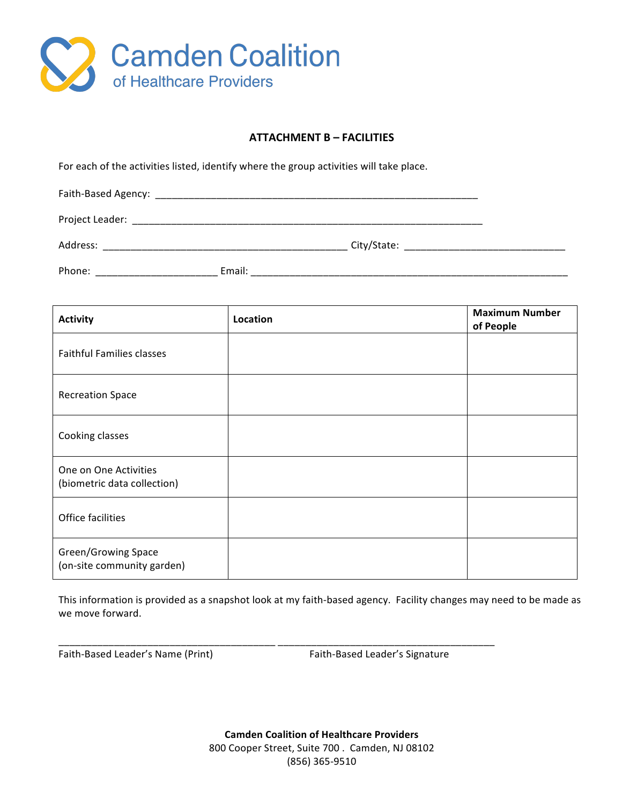

#### **ATTACHMENT B – FACILITIES**

For each of the activities listed, identify where the group activities will take place.

| Faith-Based Agency: |        |             |  |
|---------------------|--------|-------------|--|
| Project Leader:     |        |             |  |
| Address:            |        | City/State: |  |
| Phone:              | Email: |             |  |

| <b>Activity</b>                                      | Location | <b>Maximum Number</b><br>of People |
|------------------------------------------------------|----------|------------------------------------|
| <b>Faithful Families classes</b>                     |          |                                    |
| <b>Recreation Space</b>                              |          |                                    |
| Cooking classes                                      |          |                                    |
| One on One Activities<br>(biometric data collection) |          |                                    |
| Office facilities                                    |          |                                    |
| Green/Growing Space<br>(on-site community garden)    |          |                                    |

This information is provided as a snapshot look at my faith-based agency. Facility changes may need to be made as we move forward.

\_\_\_\_\_\_\_\_\_\_\_\_\_\_\_\_\_\_\_\_\_\_\_\_\_\_\_\_\_\_\_\_\_\_\_\_\_\_\_ \_\_\_\_\_\_\_\_\_\_\_\_\_\_\_\_\_\_\_\_\_\_\_\_\_\_\_\_\_\_\_\_\_\_\_\_\_\_\_

Faith-Based Leader's Name (Print) **Accord Contains Containery** Faith-Based Leader's Signature